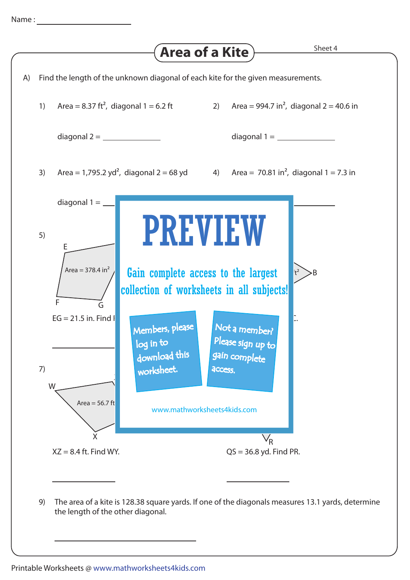